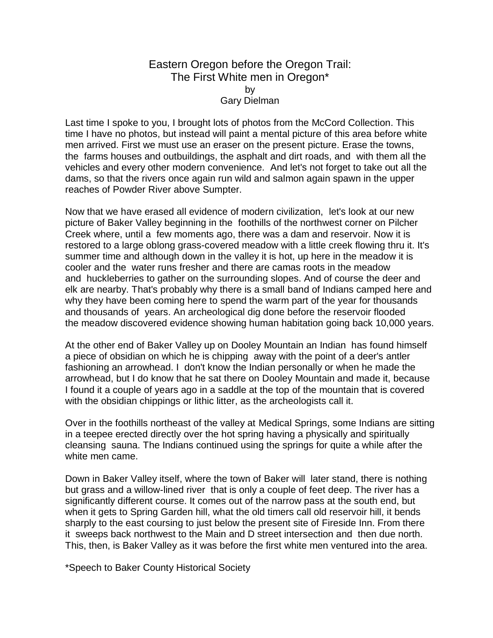## Eastern Oregon before the Oregon Trail: The First White men in Oregon\* by Gary Dielman

Last time I spoke to you, I brought lots of photos from the McCord Collection. This time I have no photos, but instead will paint a mental picture of this area before white men arrived. First we must use an eraser on the present picture. Erase the towns, the farms houses and outbuildings, the asphalt and dirt roads, and with them all the vehicles and every other modern convenience. And let's not forget to take out all the dams, so that the rivers once again run wild and salmon again spawn in the upper reaches of Powder River above Sumpter.

Now that we have erased all evidence of modern civilization, let's look at our new picture of Baker Valley beginning in the foothills of the northwest corner on Pilcher Creek where, until a few moments ago, there was a dam and reservoir. Now it is restored to a large oblong grass-covered meadow with a little creek flowing thru it. It's summer time and although down in the valley it is hot, up here in the meadow it is cooler and the water runs fresher and there are camas roots in the meadow and huckleberries to gather on the surrounding slopes. And of course the deer and elk are nearby. That's probably why there is a small band of Indians camped here and why they have been coming here to spend the warm part of the year for thousands and thousands of years. An archeological dig done before the reservoir flooded the meadow discovered evidence showing human habitation going back 10,000 years.

At the other end of Baker Valley up on Dooley Mountain an Indian has found himself a piece of obsidian on which he is chipping away with the point of a deer's antler fashioning an arrowhead. I don't know the Indian personally or when he made the arrowhead, but I do know that he sat there on Dooley Mountain and made it, because I found it a couple of years ago in a saddle at the top of the mountain that is covered with the obsidian chippings or lithic litter, as the archeologists call it.

Over in the foothills northeast of the valley at Medical Springs, some Indians are sitting in a teepee erected directly over the hot spring having a physically and spiritually cleansing sauna. The Indians continued using the springs for quite a while after the white men came.

Down in Baker Valley itself, where the town of Baker will later stand, there is nothing but grass and a willow-lined river that is only a couple of feet deep. The river has a significantly different course. It comes out of the narrow pass at the south end, but when it gets to Spring Garden hill, what the old timers call old reservoir hill, it bends sharply to the east coursing to just below the present site of Fireside Inn. From there it sweeps back northwest to the Main and D street intersection and then due north. This, then, is Baker Valley as it was before the first white men ventured into the area.

\*Speech to Baker County Historical Society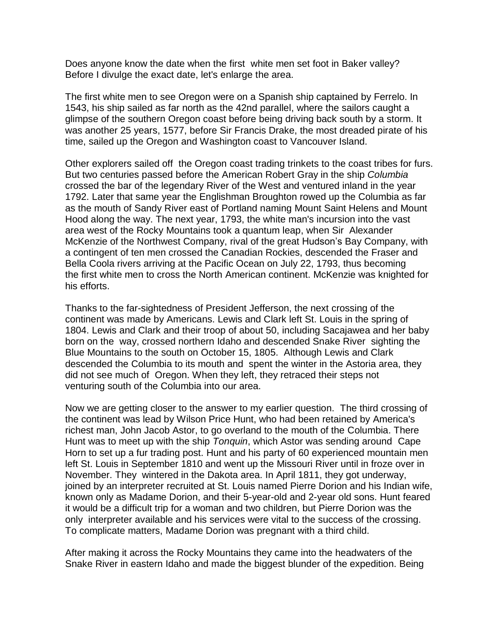Does anyone know the date when the first white men set foot in Baker valley? Before I divulge the exact date, let's enlarge the area.

The first white men to see Oregon were on a Spanish ship captained by Ferrelo. In 1543, his ship sailed as far north as the 42nd parallel, where the sailors caught a glimpse of the southern Oregon coast before being driving back south by a storm. It was another 25 years, 1577, before Sir Francis Drake, the most dreaded pirate of his time, sailed up the Oregon and Washington coast to Vancouver Island.

Other explorers sailed off the Oregon coast trading trinkets to the coast tribes for furs. But two centuries passed before the American Robert Gray in the ship *Columbia* crossed the bar of the legendary River of the West and ventured inland in the year 1792. Later that same year the Englishman Broughton rowed up the Columbia as far as the mouth of Sandy River east of Portland naming Mount Saint Helens and Mount Hood along the way. The next year, 1793, the white man's incursion into the vast area west of the Rocky Mountains took a quantum leap, when Sir Alexander McKenzie of the Northwest Company, rival of the great Hudson's Bay Company, with a contingent of ten men crossed the Canadian Rockies, descended the Fraser and Bella Coola rivers arriving at the Pacific Ocean on July 22, 1793, thus becoming the first white men to cross the North American continent. McKenzie was knighted for his efforts.

Thanks to the far-sightedness of President Jefferson, the next crossing of the continent was made by Americans. Lewis and Clark left St. Louis in the spring of 1804. Lewis and Clark and their troop of about 50, including Sacajawea and her baby born on the way, crossed northern Idaho and descended Snake River sighting the Blue Mountains to the south on October 15, 1805. Although Lewis and Clark descended the Columbia to its mouth and spent the winter in the Astoria area, they did not see much of Oregon. When they left, they retraced their steps not venturing south of the Columbia into our area.

Now we are getting closer to the answer to my earlier question. The third crossing of the continent was lead by Wilson Price Hunt, who had been retained by America's richest man, John Jacob Astor, to go overland to the mouth of the Columbia. There Hunt was to meet up with the ship *Tonquin*, which Astor was sending around Cape Horn to set up a fur trading post. Hunt and his party of 60 experienced mountain men left St. Louis in September 1810 and went up the Missouri River until in froze over in November. They wintered in the Dakota area. In April 1811, they got underway, joined by an interpreter recruited at St. Louis named Pierre Dorion and his Indian wife, known only as Madame Dorion, and their 5-year-old and 2-year old sons. Hunt feared it would be a difficult trip for a woman and two children, but Pierre Dorion was the only interpreter available and his services were vital to the success of the crossing. To complicate matters, Madame Dorion was pregnant with a third child.

After making it across the Rocky Mountains they came into the headwaters of the Snake River in eastern Idaho and made the biggest blunder of the expedition. Being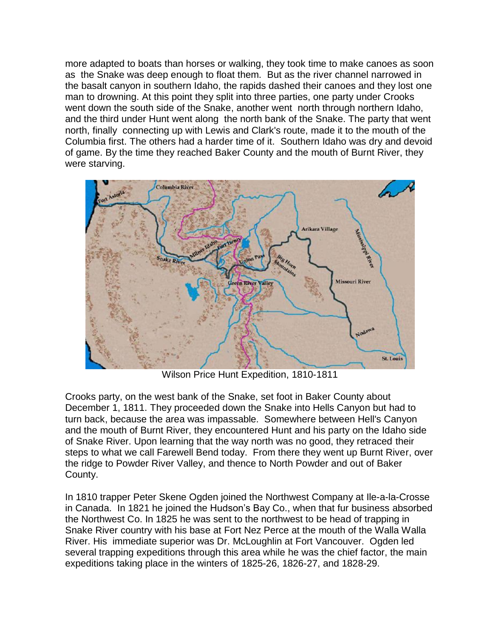more adapted to boats than horses or walking, they took time to make canoes as soon as the Snake was deep enough to float them. But as the river channel narrowed in the basalt canyon in southern Idaho, the rapids dashed their canoes and they lost one man to drowning. At this point they split into three parties, one party under Crooks went down the south side of the Snake, another went north through northern Idaho, and the third under Hunt went along the north bank of the Snake. The party that went north, finally connecting up with Lewis and Clark's route, made it to the mouth of the Columbia first. The others had a harder time of it. Southern Idaho was dry and devoid of game. By the time they reached Baker County and the mouth of Burnt River, they were starving.



Wilson Price Hunt Expedition, 1810-1811

Crooks party, on the west bank of the Snake, set foot in Baker County about December 1, 1811. They proceeded down the Snake into Hells Canyon but had to turn back, because the area was impassable. Somewhere between Hell's Canyon and the mouth of Burnt River, they encountered Hunt and his party on the Idaho side of Snake River. Upon learning that the way north was no good, they retraced their steps to what we call Farewell Bend today. From there they went up Burnt River, over the ridge to Powder River Valley, and thence to North Powder and out of Baker County.

In 1810 trapper Peter Skene Ogden joined the Northwest Company at Ile-a-la-Crosse in Canada. In 1821 he joined the Hudson's Bay Co., when that fur business absorbed the Northwest Co. In 1825 he was sent to the northwest to be head of trapping in Snake River country with his base at Fort Nez Perce at the mouth of the Walla Walla River. His immediate superior was Dr. McLoughlin at Fort Vancouver. Ogden led several trapping expeditions through this area while he was the chief factor, the main expeditions taking place in the winters of 1825-26, 1826-27, and 1828-29.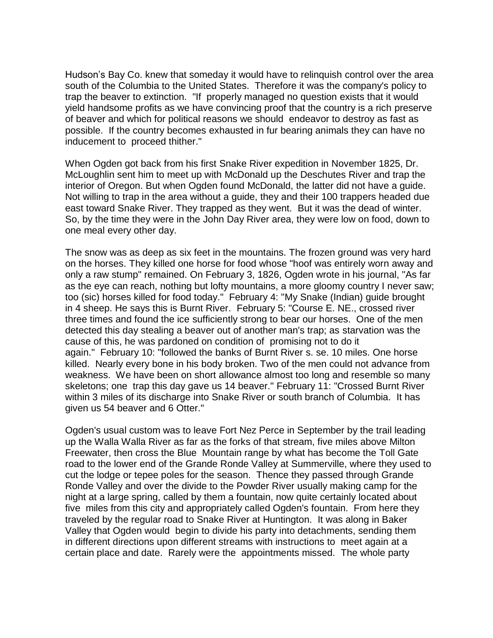Hudson's Bay Co. knew that someday it would have to relinquish control over the area south of the Columbia to the United States. Therefore it was the company's policy to trap the beaver to extinction. "If properly managed no question exists that it would yield handsome profits as we have convincing proof that the country is a rich preserve of beaver and which for political reasons we should endeavor to destroy as fast as possible. If the country becomes exhausted in fur bearing animals they can have no inducement to proceed thither."

When Ogden got back from his first Snake River expedition in November 1825, Dr. McLoughlin sent him to meet up with McDonald up the Deschutes River and trap the interior of Oregon. But when Ogden found McDonald, the latter did not have a guide. Not willing to trap in the area without a guide, they and their 100 trappers headed due east toward Snake River. They trapped as they went. But it was the dead of winter. So, by the time they were in the John Day River area, they were low on food, down to one meal every other day.

The snow was as deep as six feet in the mountains. The frozen ground was very hard on the horses. They killed one horse for food whose "hoof was entirely worn away and only a raw stump" remained. On February 3, 1826, Ogden wrote in his journal, "As far as the eye can reach, nothing but lofty mountains, a more gloomy country I never saw; too (sic) horses killed for food today." February 4: "My Snake (Indian) guide brought in 4 sheep. He says this is Burnt River. February 5: "Course E. NE., crossed river three times and found the ice sufficiently strong to bear our horses. One of the men detected this day stealing a beaver out of another man's trap; as starvation was the cause of this, he was pardoned on condition of promising not to do it again." February 10: "followed the banks of Burnt River s. se. 10 miles. One horse killed. Nearly every bone in his body broken. Two of the men could not advance from weakness. We have been on short allowance almost too long and resemble so many skeletons; one trap this day gave us 14 beaver." February 11: "Crossed Burnt River within 3 miles of its discharge into Snake River or south branch of Columbia. It has given us 54 beaver and 6 Otter."

Ogden's usual custom was to leave Fort Nez Perce in September by the trail leading up the Walla Walla River as far as the forks of that stream, five miles above Milton Freewater, then cross the Blue Mountain range by what has become the Toll Gate road to the lower end of the Grande Ronde Valley at Summerville, where they used to cut the lodge or tepee poles for the season. Thence they passed through Grande Ronde Valley and over the divide to the Powder River usually making camp for the night at a large spring, called by them a fountain, now quite certainly located about five miles from this city and appropriately called Ogden's fountain. From here they traveled by the regular road to Snake River at Huntington. It was along in Baker Valley that Ogden would begin to divide his party into detachments, sending them in different directions upon different streams with instructions to meet again at a certain place and date. Rarely were the appointments missed. The whole party